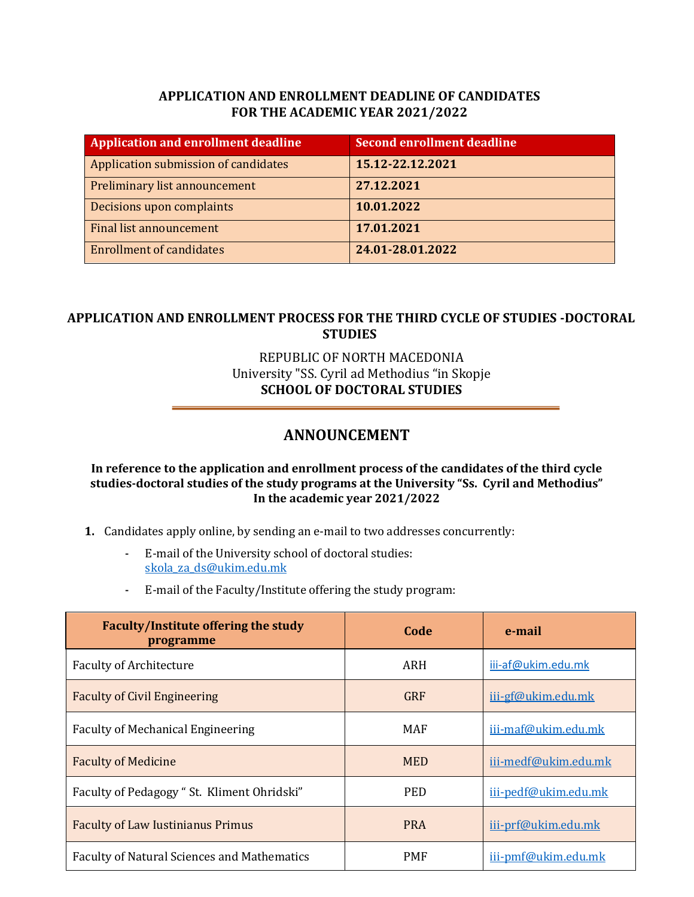## **APPLICATION AND ENROLLMENT DEADLINE OF CANDIDATES FOR THE ACADEMIC YEAR 2021/2022**

| <b>Application and enrollment deadline</b> | <b>Second enrollment deadline</b> |
|--------------------------------------------|-----------------------------------|
| Application submission of candidates       | 15.12-22.12.2021                  |
| Preliminary list announcement              | 27.12.2021                        |
| Decisions upon complaints                  | 10.01.2022                        |
| <b>Final list announcement</b>             | 17.01.2021                        |
| <b>Enrollment of candidates</b>            | 24.01-28.01.2022                  |

## **APPLICATION AND ENROLLMENT PROCESS FOR THE THIRD CYCLE OF STUDIES -DOCTORAL STUDIES**

## REPUBLIC OF NORTH MACEDONIA University "SS. Cyril ad Methodius "in Skopje **SCHOOL OF DOCTORAL STUDIES**

# **ANNOUNCEMENT**

#### **In reference to the application and enrollment process of the candidates of the third cycle studies-doctoral studies of the study programs at the University "Ss. Cyril and Methodius" In the academic year 2021/2022**

- **1.** Candidates apply online, by sending an e-mail to two addresses concurrently:
	- E-mail of the University school of doctoral studies: [skola\\_za\\_ds@ukim.edu.mk](mailto:skola_za_ds@ukim.edu.mk)
	- E-mail of the Faculty/Institute offering the study program:

| <b>Faculty/Institute offering the study</b><br>programme | Code       | e-mail               |
|----------------------------------------------------------|------------|----------------------|
| <b>Faculty of Architecture</b>                           | ARH        | iii-af@ukim.edu.mk   |
| <b>Faculty of Civil Engineering</b>                      | <b>GRF</b> | iii-gf@ukim.edu.mk   |
| <b>Faculty of Mechanical Engineering</b>                 | MAF        | iii-maf@ukim.edu.mk  |
| <b>Faculty of Medicine</b>                               | <b>MED</b> | iii-medf@ukim.edu.mk |
| Faculty of Pedagogy " St. Kliment Ohridski"              | <b>PED</b> | iii-pedf@ukim.edu.mk |
| <b>Faculty of Law Iustinianus Primus</b>                 | <b>PRA</b> | iii-prf@ukim.edu.mk  |
| <b>Faculty of Natural Sciences and Mathematics</b>       | <b>PMF</b> | iii-pmf@ukim.edu.mk  |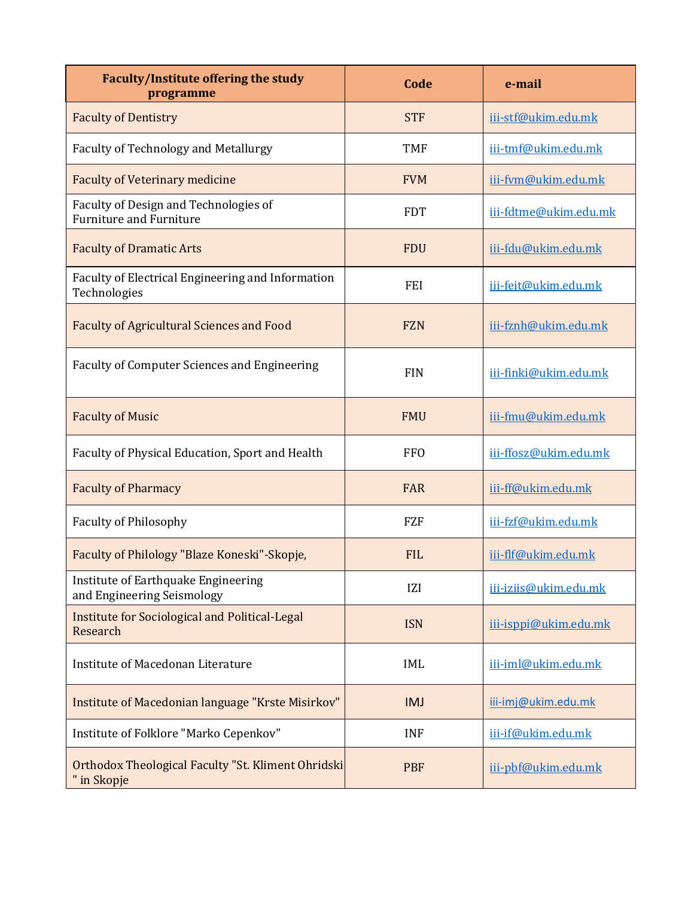| Faculty/Institute offering the study<br>programme                       | Code       | e-mail                |
|-------------------------------------------------------------------------|------------|-----------------------|
| <b>Faculty of Dentistry</b>                                             | <b>STF</b> | iii-stf@ukim.edu.mk   |
| <b>Faculty of Technology and Metallurgy</b>                             | <b>TMF</b> | iii-tmf@ukim.edu.mk   |
| <b>Faculty of Veterinary medicine</b>                                   | <b>FVM</b> | iii-fym@ukim.edu.mk   |
| Faculty of Design and Technologies of<br><b>Furniture and Furniture</b> | <b>FDT</b> | iii-fdtme@ukim.edu.mk |
| <b>Faculty of Dramatic Arts</b>                                         | <b>FDU</b> | iii-fdu@ukim.edu.mk   |
| Faculty of Electrical Engineering and Information<br>Technologies       | <b>FEI</b> | iii-feit@ukim.edu.mk  |
| <b>Faculty of Agricultural Sciences and Food</b>                        | <b>FZN</b> | iii-fznh@ukim.edu.mk  |
| <b>Faculty of Computer Sciences and Engineering</b>                     | <b>FIN</b> | iii-finki@ukim.edu.mk |
| <b>Faculty of Music</b>                                                 | <b>FMU</b> | iii-fmu@ukim.edu.mk   |
| Faculty of Physical Education, Sport and Health                         | <b>FFO</b> | iii-ffosz@ukim.edu.mk |
| <b>Faculty of Pharmacy</b>                                              | FAR        | iii-ff@ukim.edu.mk    |
| <b>Faculty of Philosophy</b>                                            | <b>FZF</b> | iii-fzf@ukim.edu.mk   |
| Faculty of Philology "Blaze Koneski"-Skopje,                            | <b>FIL</b> | iii-flf@ukim.edu.mk   |
| Institute of Earthquake Engineering<br>and Engineering Seismology       | IZI        | iii-iziis@ukim.edu.mk |
| Institute for Sociological and Political-Legal<br>Research              | <b>ISN</b> | iii-isppi@ukim.edu.mk |
| Institute of Macedonan Literature                                       | <b>IML</b> | iii-iml@ukim.edu.mk   |
| Institute of Macedonian language "Krste Misirkov"                       | <b>IMJ</b> | iii-imj@ukim.edu.mk   |
| Institute of Folklore "Marko Cepenkov"                                  | <b>INF</b> | iii-if@ukim.edu.mk    |
| Orthodox Theological Faculty "St. Kliment Ohridski<br>" in Skopje       | <b>PBF</b> | iii-pbf@ukim.edu.mk   |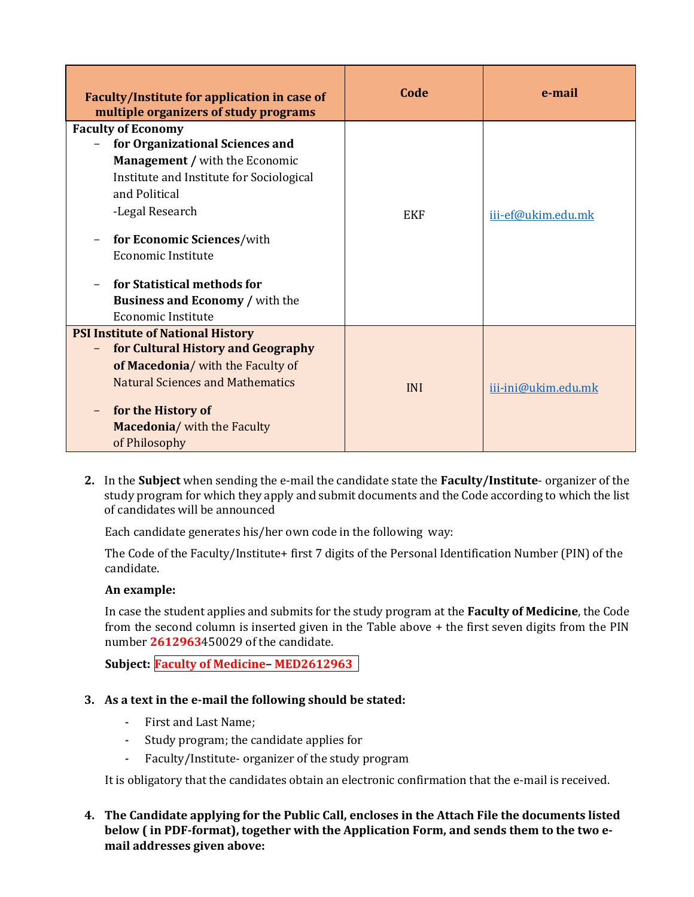| Faculty/Institute for application in case of<br>multiple organizers of study programs                                                                                                                                                                                                                                                           | Code       | e-mail              |
|-------------------------------------------------------------------------------------------------------------------------------------------------------------------------------------------------------------------------------------------------------------------------------------------------------------------------------------------------|------------|---------------------|
| <b>Faculty of Economy</b><br>for Organizational Sciences and<br><b>Management / with the Economic</b><br>Institute and Institute for Sociological<br>and Political<br>-Legal Research<br>for Economic Sciences/with<br><b>Economic Institute</b><br>for Statistical methods for<br><b>Business and Economy / with the</b><br>Economic Institute | <b>EKF</b> | iii-ef@ukim.edu.mk  |
| <b>PSI Institute of National History</b><br>for Cultural History and Geography<br>of Macedonia/ with the Faculty of<br><b>Natural Sciences and Mathematics</b><br>for the History of<br>Macedonia/ with the Faculty<br>of Philosophy                                                                                                            | <b>INI</b> | iii-ini@ukim.edu.mk |

**2.** In the **Subject** when sending the e-mail the candidate state the **Faculty/Institute**- organizer of the study program for which they apply and submit documents and the Code according to which the list of candidates will be announced

Each candidate generates his/her own code in the following way:

The Code of the Faculty/Institute+ first 7 digits of the Personal Identification Number (PIN) of the candidate.

## **An example:**

In case the student applies and submits for the study program at the **Faculty of Medicine**, the Code from the second column is inserted given in the Table above + the first seven digits from the PIN number **2612963**450029 of the candidate.

**Subject: Faculty of Medicine– MED2612963**

## **3. As a text in the e-mail the following should be stated:**

- First and Last Name;
- Study program; the candidate applies for
- Faculty/Institute- organizer of the study program

It is obligatory that the candidates obtain an electronic confirmation that the e-mail is received.

#### **4. The Candidate applying for the Public Call, encloses in the Attach File the documents listed below ( in PDF-format), together with the Application Form, and sends them to the two email addresses given above:**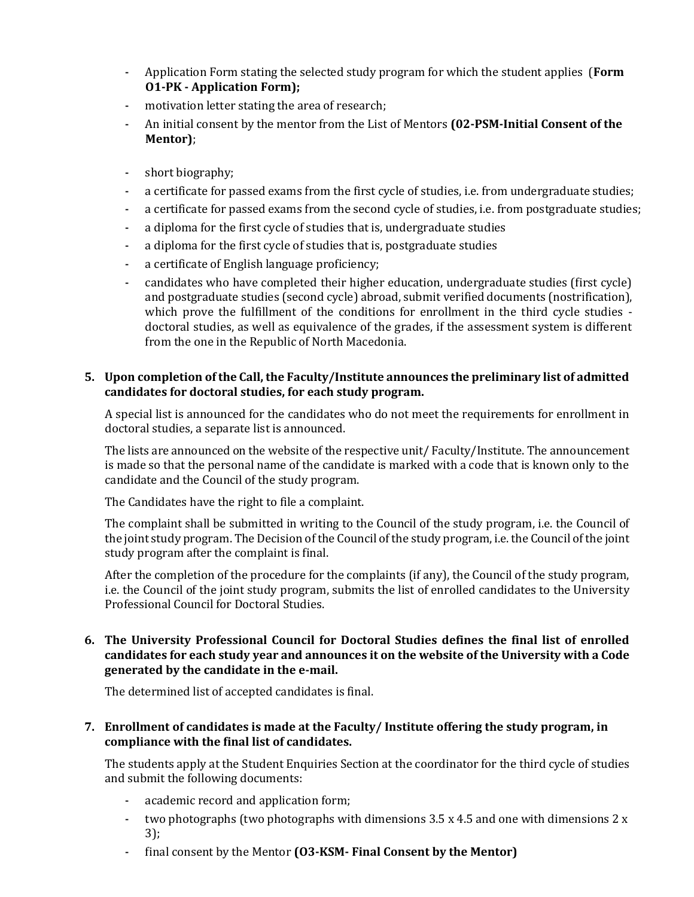- Application Form stating the selected study program for which the student applies (**Form O1-PK - Application Form);**
- motivation letter stating the area of research;
- An initial consent by the mentor from the List of Mentors **(02-PSM-Initial Consent of the Mentor)**;
- short biography;
- a certificate for passed exams from the first cycle of studies, i.e. from undergraduate studies;
- a certificate for passed exams from the second cycle of studies, i.e. from postgraduate studies;
- a diploma for the first cycle of studies that is, undergraduate studies
- a diploma for the first cycle of studies that is, postgraduate studies
- a certificate of English language proficiency;
- candidates who have completed their higher education, undergraduate studies (first cycle) and postgraduate studies (second cycle) abroad, submit verified documents (nostrification), which prove the fulfillment of the conditions for enrollment in the third cycle studies doctoral studies, as well as equivalence of the grades, if the assessment system is different from the one in the Republic of North Macedonia.

#### **5. Upon completion of the Call, the Faculty/Institute announces the preliminary list of admitted candidates for doctoral studies, for each study program.**

A special list is announced for the candidates who do not meet the requirements for enrollment in doctoral studies, a separate list is announced.

The lists are announced on the website of the respective unit/ Faculty/Institute. The announcement is made so that the personal name of the candidate is marked with a code that is known only to the candidate and the Council of the study program.

The Candidates have the right to file a complaint.

The complaint shall be submitted in writing to the Council of the study program, i.e. the Council of the joint study program. The Decision of the Council of the study program, i.e. the Council of the joint study program after the complaint is final.

After the completion of the procedure for the complaints (if any), the Council of the study program, i.e. the Council of the joint study program, submits the list of enrolled candidates to the University Professional Council for Doctoral Studies.

#### **6. The University Professional Council for Doctoral Studies defines the final list of enrolled candidates for each study year and announces it on the website of the University with a Code generated by the candidate in the e-mail.**

The determined list of accepted candidates is final.

#### **7. Enrollment of candidates is made at the Faculty/ Institute offering the study program, in compliance with the final list of candidates.**

The students apply at the Student Enquiries Section at the coordinator for the third cycle of studies and submit the following documents:

- academic record and application form;
- two photographs (two photographs with dimensions  $3.5 \times 4.5$  and one with dimensions  $2 \times$ 3);
- final consent by the Mentor **(O3-KSM- Final Consent by the Mentor)**